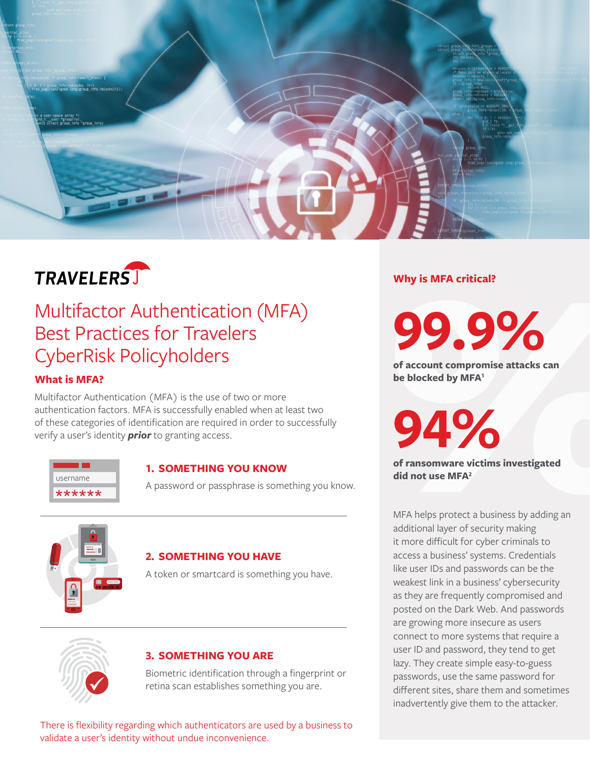

# **VPHOTERTS THE SURFACE CONTRANS CONSUMISED ACCESS (VERTICLES)**<br>
SERIST PRIOR CONTRANS POLICY INDIVIDUATES<br>
What is MFA?<br>
What is MFA?<br>
What is MFA?<br>
What is MFA?<br>
What is MFA?<br>
What is MFA?<br>
Were reconstruction (MFA) is th Multifactor Authentication (MFA) Best Practices for Travelers CyberRisk Policyholders

# **What is MFA?**

Multifactor Authentication (MFA) is the use of two or more authentication factors. MFA is successfully enabled when at least two of these categories of identification are required in order to successfully



# **1. SOMETHING YOU KNOW**

A password or passphrase is something you know.



# **2. SOMETHING YOU HAVE**

A token or smartcard is something you have.



# **3. SOMETHING YOU ARE**

Biometric identification through a fingerprint or retina scan establishes something you are.

There is flexibility regarding which authenticators are used by a business to validate a user's identity without undue inconvenience.

# **Why is MFA critical?**

**99.9%**

**of account compromise attacks can be blocked by MFA1**

**94%**

**of ransomware victims investigated did not use MFA<sup>2</sup> did not use MFA<sup>2</sup>** 

> MFA helps protect a business by adding an additional layer of security making it more difficult for cyber criminals to access a business' systems. Credentials like user IDs and passwords can be the weakest link in a business' cybersecurity as they are frequently compromised and posted on the Dark Web. And passwords are growing more insecure as users connect to more systems that require a user ID and password, they tend to get lazy. They create simple easy-to-guess passwords, use the same password for different sites, share them and sometimes inadvertently give them to the attacker.